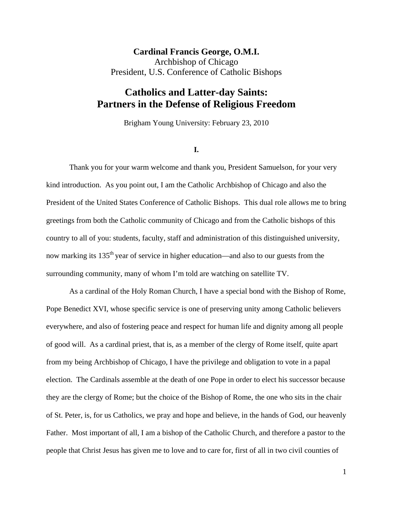**Cardinal Francis George, O.M.I.**  Archbishop of Chicago President, U.S. Conference of Catholic Bishops

## **Catholics and Latter-day Saints: Partners in the Defense of Religious Freedom**

Brigham Young University: February 23, 2010

**I.** 

Thank you for your warm welcome and thank you, President Samuelson, for your very kind introduction. As you point out, I am the Catholic Archbishop of Chicago and also the President of the United States Conference of Catholic Bishops. This dual role allows me to bring greetings from both the Catholic community of Chicago and from the Catholic bishops of this country to all of you: students, faculty, staff and administration of this distinguished university, now marking its 135<sup>th</sup> year of service in higher education—and also to our guests from the surrounding community, many of whom I'm told are watching on satellite TV.

As a cardinal of the Holy Roman Church, I have a special bond with the Bishop of Rome, Pope Benedict XVI, whose specific service is one of preserving unity among Catholic believers everywhere, and also of fostering peace and respect for human life and dignity among all people of good will. As a cardinal priest, that is, as a member of the clergy of Rome itself, quite apart from my being Archbishop of Chicago, I have the privilege and obligation to vote in a papal election. The Cardinals assemble at the death of one Pope in order to elect his successor because they are the clergy of Rome; but the choice of the Bishop of Rome, the one who sits in the chair of St. Peter, is, for us Catholics, we pray and hope and believe, in the hands of God, our heavenly Father. Most important of all, I am a bishop of the Catholic Church, and therefore a pastor to the people that Christ Jesus has given me to love and to care for, first of all in two civil counties of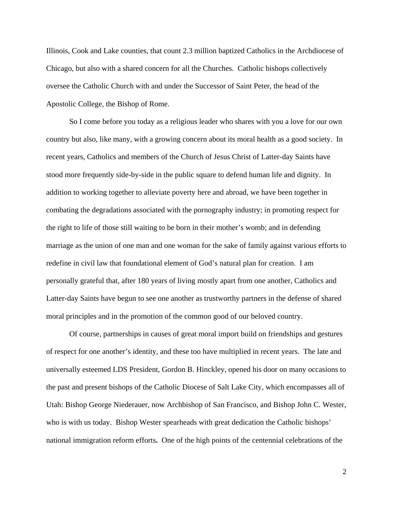Illinois, Cook and Lake counties, that count 2.3 million baptized Catholics in the Archdiocese of Chicago, but also with a shared concern for all the Churches. Catholic bishops collectively oversee the Catholic Church with and under the Successor of Saint Peter, the head of the Apostolic College, the Bishop of Rome.

So I come before you today as a religious leader who shares with you a love for our own country but also, like many, with a growing concern about its moral health as a good society. In recent years, Catholics and members of the Church of Jesus Christ of Latter-day Saints have stood more frequently side-by-side in the public square to defend human life and dignity. In addition to working together to alleviate poverty here and abroad, we have been together in combating the degradations associated with the pornography industry; in promoting respect for the right to life of those still waiting to be born in their mother's womb; and in defending marriage as the union of one man and one woman for the sake of family against various efforts to redefine in civil law that foundational element of God's natural plan for creation. I am personally grateful that, after 180 years of living mostly apart from one another, Catholics and Latter-day Saints have begun to see one another as trustworthy partners in the defense of shared moral principles and in the promotion of the common good of our beloved country.

Of course, partnerships in causes of great moral import build on friendships and gestures of respect for one another's identity, and these too have multiplied in recent years. The late and universally esteemed LDS President, Gordon B. Hinckley, opened his door on many occasions to the past and present bishops of the Catholic Diocese of Salt Lake City, which encompasses all of Utah: Bishop George Niederauer, now Archbishop of San Francisco, and Bishop John C. Wester, who is with us today. Bishop Wester spearheads with great dedication the Catholic bishops' national immigration reform efforts**.** One of the high points of the centennial celebrations of the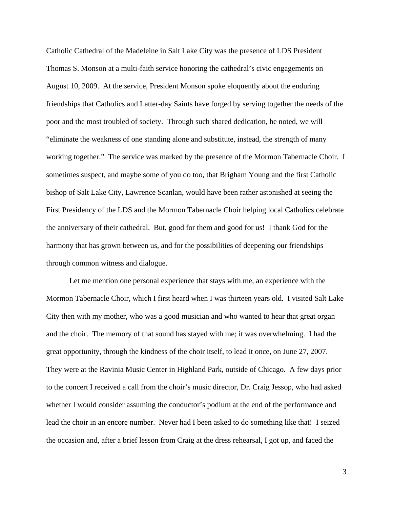Catholic Cathedral of the Madeleine in Salt Lake City was the presence of LDS President Thomas S. Monson at a multi-faith service honoring the cathedral's civic engagements on August 10, 2009. At the service, President Monson spoke eloquently about the enduring friendships that Catholics and Latter-day Saints have forged by serving together the needs of the poor and the most troubled of society. Through such shared dedication, he noted, we will "eliminate the weakness of one standing alone and substitute, instead, the strength of many working together." The service was marked by the presence of the Mormon Tabernacle Choir. I sometimes suspect, and maybe some of you do too, that Brigham Young and the first Catholic bishop of Salt Lake City, Lawrence Scanlan, would have been rather astonished at seeing the First Presidency of the LDS and the Mormon Tabernacle Choir helping local Catholics celebrate the anniversary of their cathedral. But, good for them and good for us! I thank God for the harmony that has grown between us, and for the possibilities of deepening our friendships through common witness and dialogue.

Let me mention one personal experience that stays with me, an experience with the Mormon Tabernacle Choir, which I first heard when I was thirteen years old. I visited Salt Lake City then with my mother, who was a good musician and who wanted to hear that great organ and the choir. The memory of that sound has stayed with me; it was overwhelming. I had the great opportunity, through the kindness of the choir itself, to lead it once, on June 27, 2007. They were at the Ravinia Music Center in Highland Park, outside of Chicago. A few days prior to the concert I received a call from the choir's music director, Dr. Craig Jessop, who had asked whether I would consider assuming the conductor's podium at the end of the performance and lead the choir in an encore number. Never had I been asked to do something like that! I seized the occasion and, after a brief lesson from Craig at the dress rehearsal, I got up, and faced the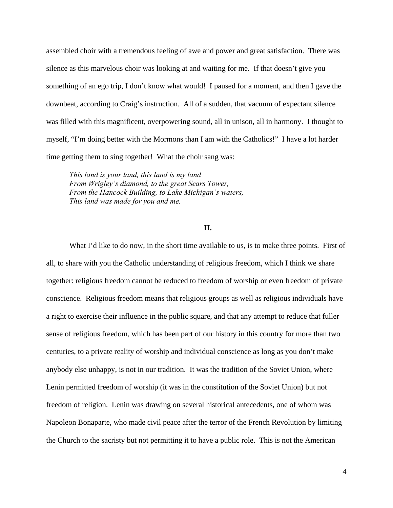assembled choir with a tremendous feeling of awe and power and great satisfaction. There was silence as this marvelous choir was looking at and waiting for me. If that doesn't give you something of an ego trip, I don't know what would! I paused for a moment, and then I gave the downbeat, according to Craig's instruction. All of a sudden, that vacuum of expectant silence was filled with this magnificent, overpowering sound, all in unison, all in harmony. I thought to myself, "I'm doing better with the Mormons than I am with the Catholics!" I have a lot harder time getting them to sing together! What the choir sang was:

*This land is your land, this land is my land From Wrigley's diamond, to the great Sears Tower, From the Hancock Building, to Lake Michigan's waters, This land was made for you and me.*

## **II.**

What I'd like to do now, in the short time available to us, is to make three points. First of all, to share with you the Catholic understanding of religious freedom, which I think we share together: religious freedom cannot be reduced to freedom of worship or even freedom of private conscience. Religious freedom means that religious groups as well as religious individuals have a right to exercise their influence in the public square, and that any attempt to reduce that fuller sense of religious freedom, which has been part of our history in this country for more than two centuries, to a private reality of worship and individual conscience as long as you don't make anybody else unhappy, is not in our tradition. It was the tradition of the Soviet Union, where Lenin permitted freedom of worship (it was in the constitution of the Soviet Union) but not freedom of religion. Lenin was drawing on several historical antecedents, one of whom was Napoleon Bonaparte, who made civil peace after the terror of the French Revolution by limiting the Church to the sacristy but not permitting it to have a public role. This is not the American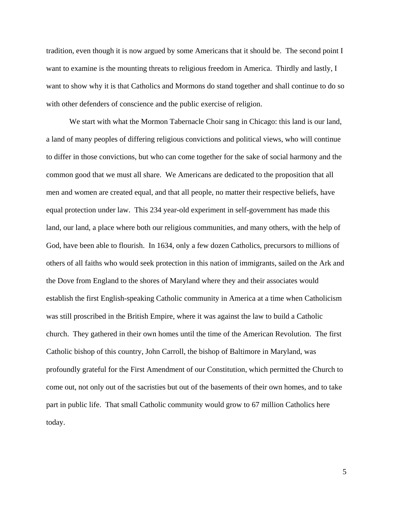tradition, even though it is now argued by some Americans that it should be. The second point I want to examine is the mounting threats to religious freedom in America. Thirdly and lastly, I want to show why it is that Catholics and Mormons do stand together and shall continue to do so with other defenders of conscience and the public exercise of religion.

We start with what the Mormon Tabernacle Choir sang in Chicago: this land is our land, a land of many peoples of differing religious convictions and political views, who will continue to differ in those convictions, but who can come together for the sake of social harmony and the common good that we must all share. We Americans are dedicated to the proposition that all men and women are created equal, and that all people, no matter their respective beliefs, have equal protection under law. This 234 year-old experiment in self-government has made this land, our land, a place where both our religious communities, and many others, with the help of God, have been able to flourish. In 1634, only a few dozen Catholics, precursors to millions of others of all faiths who would seek protection in this nation of immigrants, sailed on the Ark and the Dove from England to the shores of Maryland where they and their associates would establish the first English-speaking Catholic community in America at a time when Catholicism was still proscribed in the British Empire, where it was against the law to build a Catholic church. They gathered in their own homes until the time of the American Revolution. The first Catholic bishop of this country, John Carroll, the bishop of Baltimore in Maryland, was profoundly grateful for the First Amendment of our Constitution, which permitted the Church to come out, not only out of the sacristies but out of the basements of their own homes, and to take part in public life. That small Catholic community would grow to 67 million Catholics here today.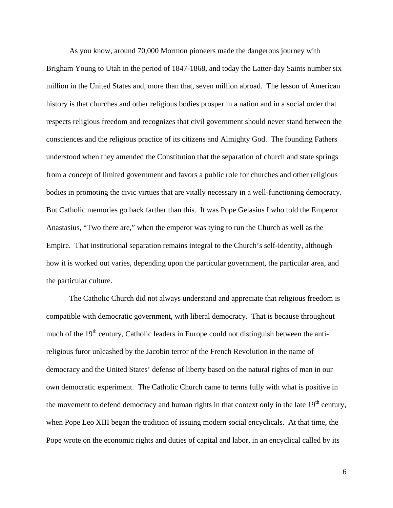As you know, around 70,000 Mormon pioneers made the dangerous journey with Brigham Young to Utah in the period of 1847-1868, and today the Latter-day Saints number six million in the United States and, more than that, seven million abroad. The lesson of American history is that churches and other religious bodies prosper in a nation and in a social order that respects religious freedom and recognizes that civil government should never stand between the consciences and the religious practice of its citizens and Almighty God. The founding Fathers understood when they amended the Constitution that the separation of church and state springs from a concept of limited government and favors a public role for churches and other religious bodies in promoting the civic virtues that are vitally necessary in a well-functioning democracy. But Catholic memories go back farther than this. It was Pope Gelasius I who told the Emperor Anastasius, "Two there are," when the emperor was tying to run the Church as well as the Empire. That institutional separation remains integral to the Church's self-identity, although how it is worked out varies, depending upon the particular government, the particular area, and the particular culture.

The Catholic Church did not always understand and appreciate that religious freedom is compatible with democratic government, with liberal democracy. That is because throughout much of the  $19<sup>th</sup>$  century, Catholic leaders in Europe could not distinguish between the antireligious furor unleashed by the Jacobin terror of the French Revolution in the name of democracy and the United States' defense of liberty based on the natural rights of man in our own democratic experiment. The Catholic Church came to terms fully with what is positive in the movement to defend democracy and human rights in that context only in the late  $19<sup>th</sup>$  century, when Pope Leo XIII began the tradition of issuing modern social encyclicals. At that time, the Pope wrote on the economic rights and duties of capital and labor, in an encyclical called by its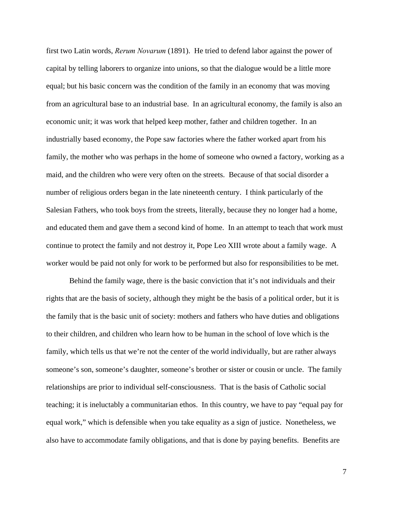first two Latin words, *Rerum Novarum* (1891). He tried to defend labor against the power of capital by telling laborers to organize into unions, so that the dialogue would be a little more equal; but his basic concern was the condition of the family in an economy that was moving from an agricultural base to an industrial base. In an agricultural economy, the family is also an economic unit; it was work that helped keep mother, father and children together. In an industrially based economy, the Pope saw factories where the father worked apart from his family, the mother who was perhaps in the home of someone who owned a factory, working as a maid, and the children who were very often on the streets. Because of that social disorder a number of religious orders began in the late nineteenth century. I think particularly of the Salesian Fathers, who took boys from the streets, literally, because they no longer had a home, and educated them and gave them a second kind of home. In an attempt to teach that work must continue to protect the family and not destroy it, Pope Leo XIII wrote about a family wage. A worker would be paid not only for work to be performed but also for responsibilities to be met.

Behind the family wage, there is the basic conviction that it's not individuals and their rights that are the basis of society, although they might be the basis of a political order, but it is the family that is the basic unit of society: mothers and fathers who have duties and obligations to their children, and children who learn how to be human in the school of love which is the family, which tells us that we're not the center of the world individually, but are rather always someone's son, someone's daughter, someone's brother or sister or cousin or uncle. The family relationships are prior to individual self-consciousness. That is the basis of Catholic social teaching; it is ineluctably a communitarian ethos. In this country, we have to pay "equal pay for equal work," which is defensible when you take equality as a sign of justice. Nonetheless, we also have to accommodate family obligations, and that is done by paying benefits. Benefits are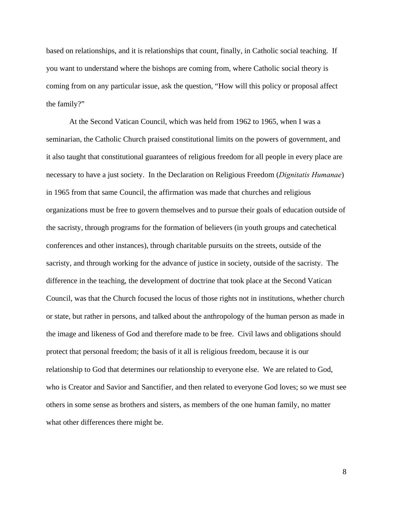based on relationships, and it is relationships that count, finally, in Catholic social teaching. If you want to understand where the bishops are coming from, where Catholic social theory is coming from on any particular issue, ask the question, "How will this policy or proposal affect the family?"

At the Second Vatican Council, which was held from 1962 to 1965, when I was a seminarian, the Catholic Church praised constitutional limits on the powers of government, and it also taught that constitutional guarantees of religious freedom for all people in every place are necessary to have a just society. In the Declaration on Religious Freedom (*Dignitatis Humanae*) in 1965 from that same Council, the affirmation was made that churches and religious organizations must be free to govern themselves and to pursue their goals of education outside of the sacristy, through programs for the formation of believers (in youth groups and catechetical conferences and other instances), through charitable pursuits on the streets, outside of the sacristy, and through working for the advance of justice in society, outside of the sacristy. The difference in the teaching, the development of doctrine that took place at the Second Vatican Council, was that the Church focused the locus of those rights not in institutions, whether church or state, but rather in persons, and talked about the anthropology of the human person as made in the image and likeness of God and therefore made to be free. Civil laws and obligations should protect that personal freedom; the basis of it all is religious freedom, because it is our relationship to God that determines our relationship to everyone else. We are related to God, who is Creator and Savior and Sanctifier, and then related to everyone God loves; so we must see others in some sense as brothers and sisters, as members of the one human family, no matter what other differences there might be.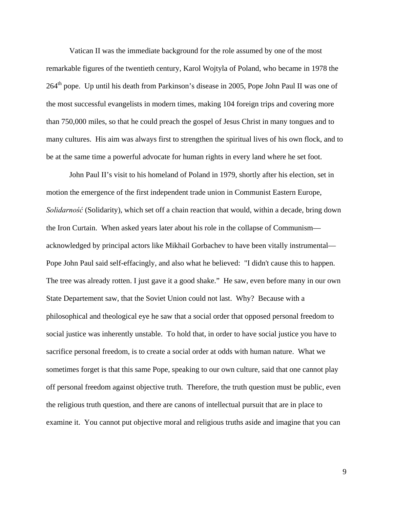Vatican II was the immediate background for the role assumed by one of the most remarkable figures of the twentieth century, Karol Wojtyla of Poland, who became in 1978 the  $264<sup>th</sup>$  pope. Up until his death from Parkinson's disease in 2005, Pope John Paul II was one of the most successful evangelists in modern times, making 104 foreign trips and covering more than 750,000 miles, so that he could preach the gospel of Jesus Christ in many tongues and to many cultures. His aim was always first to strengthen the spiritual lives of his own flock, and to be at the same time a powerful advocate for human rights in every land where he set foot.

John Paul II's visit to his homeland of Poland in 1979, shortly after his election, set in motion the emergence of the first independent trade union in Communist Eastern Europe, *Solidarność* (Solidarity), which set off a chain reaction that would, within a decade, bring down the Iron Curtain. When asked years later about his role in the collapse of Communism acknowledged by principal actors like Mikhail Gorbachev to have been vitally instrumental— Pope John Paul said self-effacingly, and also what he believed: "I didn't cause this to happen. The tree was already rotten. I just gave it a good shake." He saw, even before many in our own State Departement saw, that the Soviet Union could not last. Why? Because with a philosophical and theological eye he saw that a social order that opposed personal freedom to social justice was inherently unstable. To hold that, in order to have social justice you have to sacrifice personal freedom, is to create a social order at odds with human nature. What we sometimes forget is that this same Pope, speaking to our own culture, said that one cannot play off personal freedom against objective truth. Therefore, the truth question must be public, even the religious truth question, and there are canons of intellectual pursuit that are in place to examine it. You cannot put objective moral and religious truths aside and imagine that you can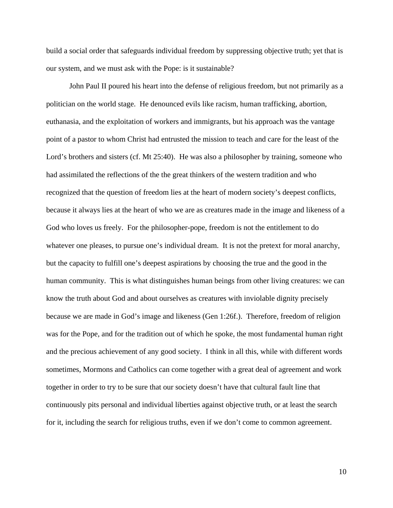build a social order that safeguards individual freedom by suppressing objective truth; yet that is our system, and we must ask with the Pope: is it sustainable?

John Paul II poured his heart into the defense of religious freedom, but not primarily as a politician on the world stage. He denounced evils like racism, human trafficking, abortion, euthanasia, and the exploitation of workers and immigrants, but his approach was the vantage point of a pastor to whom Christ had entrusted the mission to teach and care for the least of the Lord's brothers and sisters (cf. Mt 25:40). He was also a philosopher by training, someone who had assimilated the reflections of the the great thinkers of the western tradition and who recognized that the question of freedom lies at the heart of modern society's deepest conflicts, because it always lies at the heart of who we are as creatures made in the image and likeness of a God who loves us freely. For the philosopher-pope, freedom is not the entitlement to do whatever one pleases, to pursue one's individual dream. It is not the pretext for moral anarchy, but the capacity to fulfill one's deepest aspirations by choosing the true and the good in the human community. This is what distinguishes human beings from other living creatures: we can know the truth about God and about ourselves as creatures with inviolable dignity precisely because we are made in God's image and likeness (Gen 1:26f.). Therefore, freedom of religion was for the Pope, and for the tradition out of which he spoke, the most fundamental human right and the precious achievement of any good society. I think in all this, while with different words sometimes, Mormons and Catholics can come together with a great deal of agreement and work together in order to try to be sure that our society doesn't have that cultural fault line that continuously pits personal and individual liberties against objective truth, or at least the search for it, including the search for religious truths, even if we don't come to common agreement.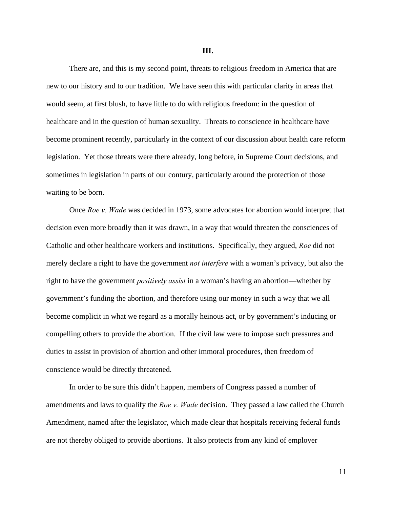**III.** 

There are, and this is my second point, threats to religious freedom in America that are new to our history and to our tradition. We have seen this with particular clarity in areas that would seem, at first blush, to have little to do with religious freedom: in the question of healthcare and in the question of human sexuality. Threats to conscience in healthcare have become prominent recently, particularly in the context of our discussion about health care reform legislation. Yet those threats were there already, long before, in Supreme Court decisions, and sometimes in legislation in parts of our contury, particularly around the protection of those waiting to be born.

Once *Roe v. Wade* was decided in 1973, some advocates for abortion would interpret that decision even more broadly than it was drawn, in a way that would threaten the consciences of Catholic and other healthcare workers and institutions. Specifically, they argued, *Roe* did not merely declare a right to have the government *not interfere* with a woman's privacy, but also the right to have the government *positively assist* in a woman's having an abortion—whether by government's funding the abortion, and therefore using our money in such a way that we all become complicit in what we regard as a morally heinous act, or by government's inducing or compelling others to provide the abortion. If the civil law were to impose such pressures and duties to assist in provision of abortion and other immoral procedures, then freedom of conscience would be directly threatened.

In order to be sure this didn't happen, members of Congress passed a number of amendments and laws to qualify the *Roe v. Wade* decision. They passed a law called the Church Amendment, named after the legislator, which made clear that hospitals receiving federal funds are not thereby obliged to provide abortions. It also protects from any kind of employer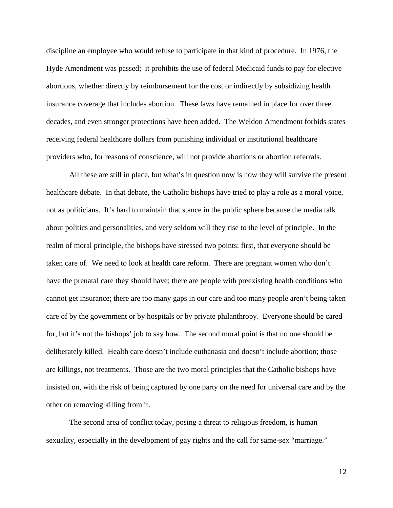discipline an employee who would refuse to participate in that kind of procedure. In 1976, the Hyde Amendment was passed; it prohibits the use of federal Medicaid funds to pay for elective abortions, whether directly by reimbursement for the cost or indirectly by subsidizing health insurance coverage that includes abortion. These laws have remained in place for over three decades, and even stronger protections have been added. The Weldon Amendment forbids states receiving federal healthcare dollars from punishing individual or institutional healthcare providers who, for reasons of conscience, will not provide abortions or abortion referrals.

All these are still in place, but what's in question now is how they will survive the present healthcare debate. In that debate, the Catholic bishops have tried to play a role as a moral voice, not as politicians. It's hard to maintain that stance in the public sphere because the media talk about politics and personalities, and very seldom will they rise to the level of principle. In the realm of moral principle, the bishops have stressed two points: first, that everyone should be taken care of. We need to look at health care reform. There are pregnant women who don't have the prenatal care they should have; there are people with preexisting health conditions who cannot get insurance; there are too many gaps in our care and too many people aren't being taken care of by the government or by hospitals or by private philanthropy. Everyone should be cared for, but it's not the bishops' job to say how. The second moral point is that no one should be deliberately killed. Health care doesn't include euthanasia and doesn't include abortion; those are killings, not treatments. Those are the two moral principles that the Catholic bishops have insisted on, with the risk of being captured by one party on the need for universal care and by the other on removing killing from it.

The second area of conflict today, posing a threat to religious freedom, is human sexuality, especially in the development of gay rights and the call for same-sex "marriage."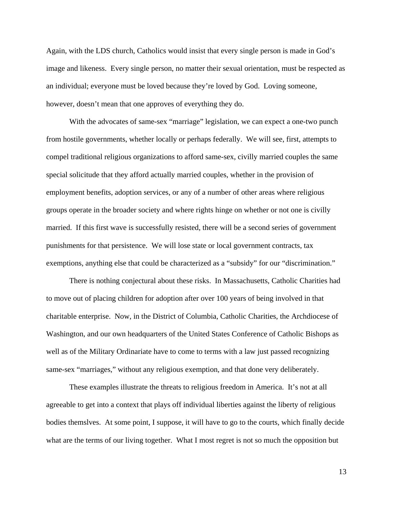Again, with the LDS church, Catholics would insist that every single person is made in God's image and likeness. Every single person, no matter their sexual orientation, must be respected as an individual; everyone must be loved because they're loved by God. Loving someone, however, doesn't mean that one approves of everything they do.

With the advocates of same-sex "marriage" legislation, we can expect a one-two punch from hostile governments, whether locally or perhaps federally. We will see, first, attempts to compel traditional religious organizations to afford same-sex, civilly married couples the same special solicitude that they afford actually married couples, whether in the provision of employment benefits, adoption services, or any of a number of other areas where religious groups operate in the broader society and where rights hinge on whether or not one is civilly married. If this first wave is successfully resisted, there will be a second series of government punishments for that persistence. We will lose state or local government contracts, tax exemptions, anything else that could be characterized as a "subsidy" for our "discrimination."

There is nothing conjectural about these risks. In Massachusetts, Catholic Charities had to move out of placing children for adoption after over 100 years of being involved in that charitable enterprise. Now, in the District of Columbia, Catholic Charities, the Archdiocese of Washington, and our own headquarters of the United States Conference of Catholic Bishops as well as of the Military Ordinariate have to come to terms with a law just passed recognizing same-sex "marriages," without any religious exemption, and that done very deliberately.

These examples illustrate the threats to religious freedom in America. It's not at all agreeable to get into a context that plays off individual liberties against the liberty of religious bodies themslves. At some point, I suppose, it will have to go to the courts, which finally decide what are the terms of our living together. What I most regret is not so much the opposition but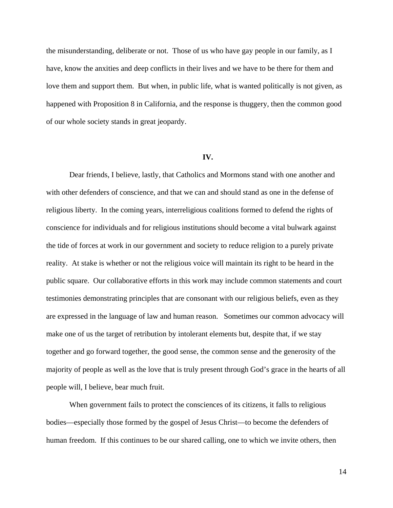the misunderstanding, deliberate or not. Those of us who have gay people in our family, as I have, know the anxities and deep conflicts in their lives and we have to be there for them and love them and support them. But when, in public life, what is wanted politically is not given, as happened with Proposition 8 in California, and the response is thuggery, then the common good of our whole society stands in great jeopardy.

## **IV.**

Dear friends, I believe, lastly, that Catholics and Mormons stand with one another and with other defenders of conscience, and that we can and should stand as one in the defense of religious liberty. In the coming years, interreligious coalitions formed to defend the rights of conscience for individuals and for religious institutions should become a vital bulwark against the tide of forces at work in our government and society to reduce religion to a purely private reality. At stake is whether or not the religious voice will maintain its right to be heard in the public square. Our collaborative efforts in this work may include common statements and court testimonies demonstrating principles that are consonant with our religious beliefs, even as they are expressed in the language of law and human reason. Sometimes our common advocacy will make one of us the target of retribution by intolerant elements but, despite that, if we stay together and go forward together, the good sense, the common sense and the generosity of the majority of people as well as the love that is truly present through God's grace in the hearts of all people will, I believe, bear much fruit.

When government fails to protect the consciences of its citizens, it falls to religious bodies—especially those formed by the gospel of Jesus Christ—to become the defenders of human freedom. If this continues to be our shared calling, one to which we invite others, then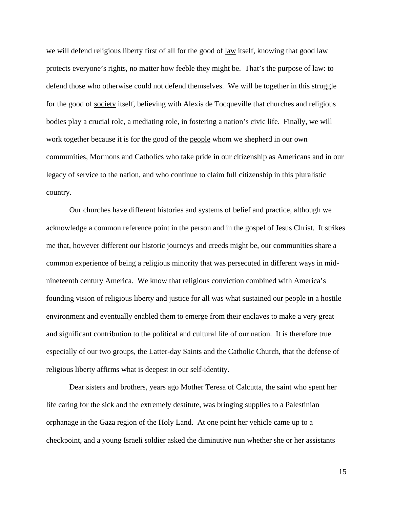we will defend religious liberty first of all for the good of law itself, knowing that good law protects everyone's rights, no matter how feeble they might be. That's the purpose of law: to defend those who otherwise could not defend themselves. We will be together in this struggle for the good of society itself, believing with Alexis de Tocqueville that churches and religious bodies play a crucial role, a mediating role, in fostering a nation's civic life. Finally, we will work together because it is for the good of the people whom we shepherd in our own communities, Mormons and Catholics who take pride in our citizenship as Americans and in our legacy of service to the nation, and who continue to claim full citizenship in this pluralistic country.

Our churches have different histories and systems of belief and practice, although we acknowledge a common reference point in the person and in the gospel of Jesus Christ. It strikes me that, however different our historic journeys and creeds might be, our communities share a common experience of being a religious minority that was persecuted in different ways in midnineteenth century America. We know that religious conviction combined with America's founding vision of religious liberty and justice for all was what sustained our people in a hostile environment and eventually enabled them to emerge from their enclaves to make a very great and significant contribution to the political and cultural life of our nation. It is therefore true especially of our two groups, the Latter-day Saints and the Catholic Church, that the defense of religious liberty affirms what is deepest in our self-identity.

Dear sisters and brothers, years ago Mother Teresa of Calcutta, the saint who spent her life caring for the sick and the extremely destitute, was bringing supplies to a Palestinian orphanage in the Gaza region of the Holy Land. At one point her vehicle came up to a checkpoint, and a young Israeli soldier asked the diminutive nun whether she or her assistants